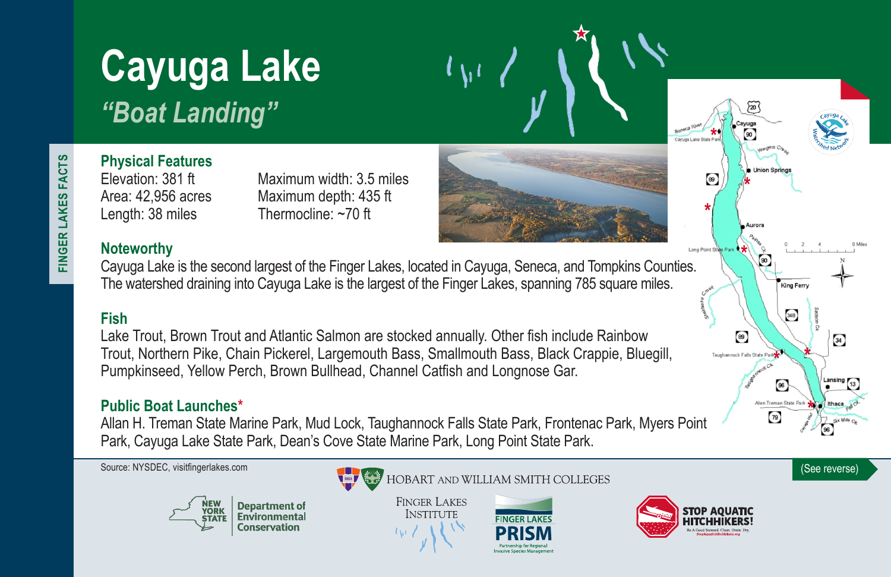# **Cayuga Lake** *"Boat Landing"*

FINGER LAKES FACTS **FINGER LAKES FACTS**

**Physical Features**

Elevation: 381 ft Maximum width: 3.5 miles Area: 42,956 acres Maximum depth: 435 ft Length: 38 miles Thermocline: ~70 ft

#### **Noteworthy**

Cayuga Lake is the second largest of the Finger Lakes, located in Cayuga, Seneca, and Tompkins Counties. The watershed draining into Cayuga Lake is the largest of the Finger Lakes, spanning 785 square miles.

#### **Fish**

Lake Trout, Brown Trout and Atlantic Salmon are stocked annually. Other fish include Rainbow Trout, Northern Pike, Chain Pickerel, Largemouth Bass, Smallmouth Bass, Black Crappie, Bluegill, Pumpkinseed, Yellow Perch, Brown Bullhead, Channel Catfish and Longnose Gar.

#### **Public Boat Launches\***

Allan H. Treman State Marine Park, Mud Lock, Taughannock Falls State Park, Frontenac Park, Myers Point Park, Cayuga Lake State Park, Dean's Cove State Marine Park, Long Point State Park.



Source: NYSDEC, visitfingerlakes.com **(See reverse)** (See reverse)

**FINGER LAKES INSTITUTE** 





Cavuga Lake State Par

 $\circledast$ 

Long Point State Park

 $\circ$ 

 $^{89}$ 

ock Falls State Park

.<br>King Ferry

34B

 $\begin{bmatrix} 96 \end{bmatrix}$ 

 $79$ 



 $34$ 

Lansing 13

Ithaca